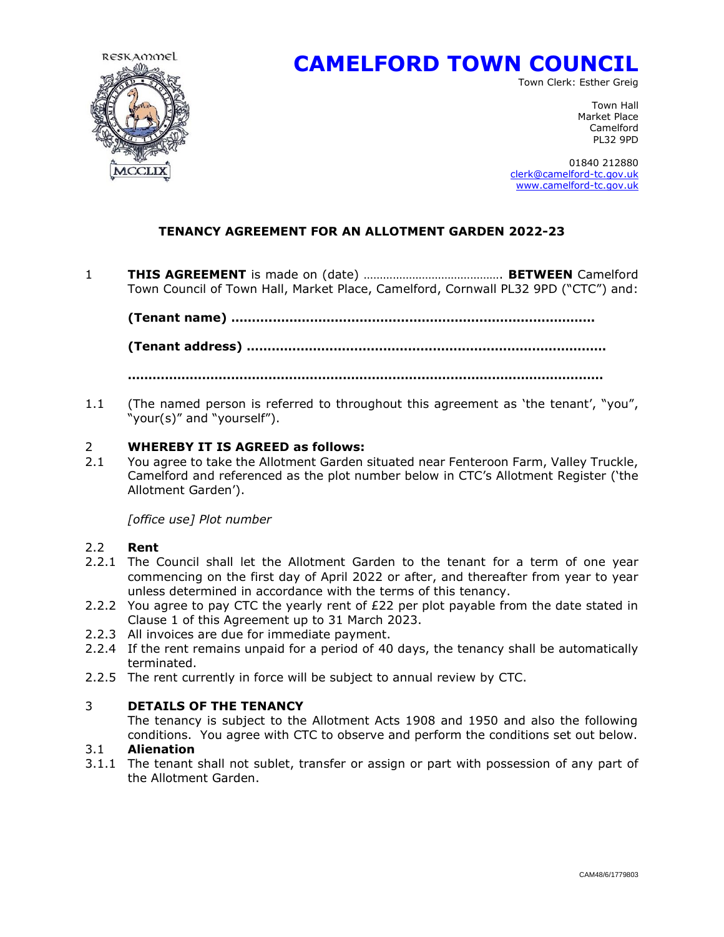

# **CAMELFORD TOWN COUNCIL**

Town Clerk: Esther Greig

Town Hall Market Place Camelford PL32 9PD

 01840 212880 [clerk@camelford-tc.gov.uk](mailto:clerk@camelford-tc.gov.uk) [www.camelford-tc.gov.uk](http://www.camelfordtown.net/)

## **TENANCY AGREEMENT FOR AN ALLOTMENT GARDEN 2022-23**

1 **THIS AGREEMENT** is made on (date) ……………………………………. **BETWEEN** Camelford Town Council of Town Hall, Market Place, Camelford, Cornwall PL32 9PD ("CTC") and:

**(Tenant name) ……….……………………………………………………………………**

**(Tenant address) ……………………………………………………………………………**

**…………………….………………………………………..……….……………………………**

1.1 (The named person is referred to throughout this agreement as 'the tenant', "you", "your(s)" and "yourself").

#### 2 **WHEREBY IT IS AGREED as follows:**

2.1 You agree to take the Allotment Garden situated near Fenteroon Farm, Valley Truckle, Camelford and referenced as the plot number below in CTC's Allotment Register ('the Allotment Garden').

*[office use] Plot number* 

#### 2.2 **Rent**

- 2.2.1 The Council shall let the Allotment Garden to the tenant for a term of one year commencing on the first day of April 2022 or after, and thereafter from year to year unless determined in accordance with the terms of this tenancy.
- 2.2.2 You agree to pay CTC the yearly rent of  $E22$  per plot payable from the date stated in Clause 1 of this Agreement up to 31 March 2023.
- 2.2.3 All invoices are due for immediate payment.
- 2.2.4 If the rent remains unpaid for a period of 40 days, the tenancy shall be automatically terminated.
- 2.2.5 The rent currently in force will be subject to annual review by CTC.

## 3 **DETAILS OF THE TENANCY**

The tenancy is subject to the Allotment Acts 1908 and 1950 and also the following conditions. You agree with CTC to observe and perform the conditions set out below.

#### 3.1 **Alienation**

3.1.1 The tenant shall not sublet, transfer or assign or part with possession of any part of the Allotment Garden.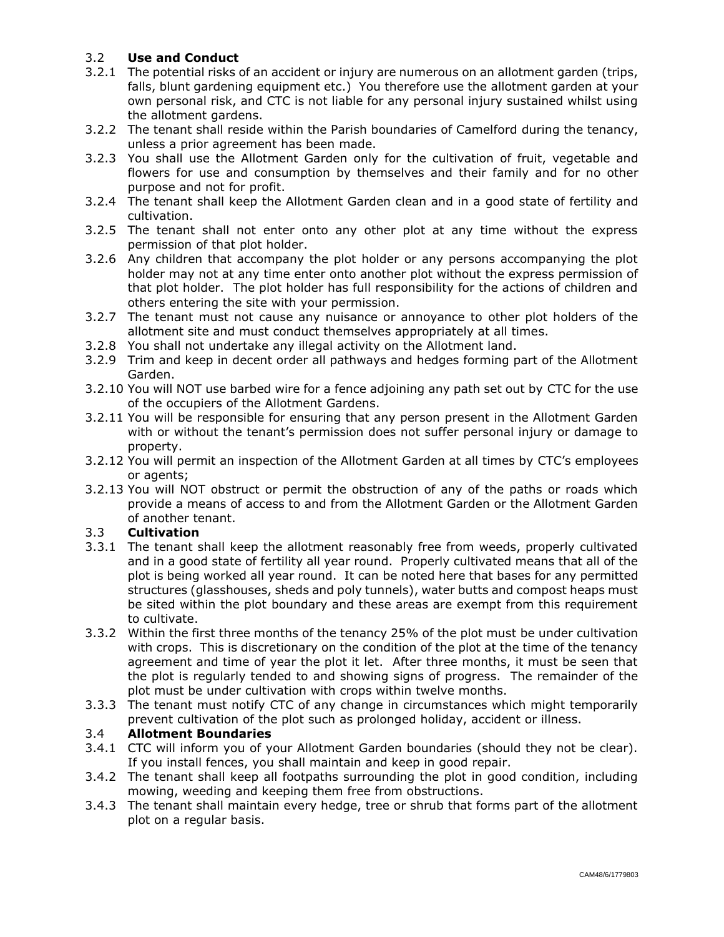## 3.2 **Use and Conduct**

- 3.2.1 The potential risks of an accident or injury are numerous on an allotment garden (trips, falls, blunt gardening equipment etc.) You therefore use the allotment garden at your own personal risk, and CTC is not liable for any personal injury sustained whilst using the allotment gardens.
- 3.2.2 The tenant shall reside within the Parish boundaries of Camelford during the tenancy, unless a prior agreement has been made.
- 3.2.3 You shall use the Allotment Garden only for the cultivation of fruit, vegetable and flowers for use and consumption by themselves and their family and for no other purpose and not for profit.
- 3.2.4 The tenant shall keep the Allotment Garden clean and in a good state of fertility and cultivation.
- 3.2.5 The tenant shall not enter onto any other plot at any time without the express permission of that plot holder.
- 3.2.6 Any children that accompany the plot holder or any persons accompanying the plot holder may not at any time enter onto another plot without the express permission of that plot holder. The plot holder has full responsibility for the actions of children and others entering the site with your permission.
- 3.2.7 The tenant must not cause any nuisance or annoyance to other plot holders of the allotment site and must conduct themselves appropriately at all times.
- 3.2.8 You shall not undertake any illegal activity on the Allotment land.
- 3.2.9 Trim and keep in decent order all pathways and hedges forming part of the Allotment Garden.
- 3.2.10 You will NOT use barbed wire for a fence adjoining any path set out by CTC for the use of the occupiers of the Allotment Gardens.
- 3.2.11 You will be responsible for ensuring that any person present in the Allotment Garden with or without the tenant's permission does not suffer personal injury or damage to property.
- 3.2.12 You will permit an inspection of the Allotment Garden at all times by CTC's employees or agents;
- 3.2.13 You will NOT obstruct or permit the obstruction of any of the paths or roads which provide a means of access to and from the Allotment Garden or the Allotment Garden of another tenant.

## 3.3 **Cultivation**

- 3.3.1 The tenant shall keep the allotment reasonably free from weeds, properly cultivated and in a good state of fertility all year round. Properly cultivated means that all of the plot is being worked all year round. It can be noted here that bases for any permitted structures (glasshouses, sheds and poly tunnels), water butts and compost heaps must be sited within the plot boundary and these areas are exempt from this requirement to cultivate.
- 3.3.2 Within the first three months of the tenancy 25% of the plot must be under cultivation with crops. This is discretionary on the condition of the plot at the time of the tenancy agreement and time of year the plot it let. After three months, it must be seen that the plot is regularly tended to and showing signs of progress. The remainder of the plot must be under cultivation with crops within twelve months.
- 3.3.3 The tenant must notify CTC of any change in circumstances which might temporarily prevent cultivation of the plot such as prolonged holiday, accident or illness.

#### 3.4 **Allotment Boundaries**

- 3.4.1 CTC will inform you of your Allotment Garden boundaries (should they not be clear). If you install fences, you shall maintain and keep in good repair.
- 3.4.2 The tenant shall keep all footpaths surrounding the plot in good condition, including mowing, weeding and keeping them free from obstructions.
- 3.4.3 The tenant shall maintain every hedge, tree or shrub that forms part of the allotment plot on a regular basis.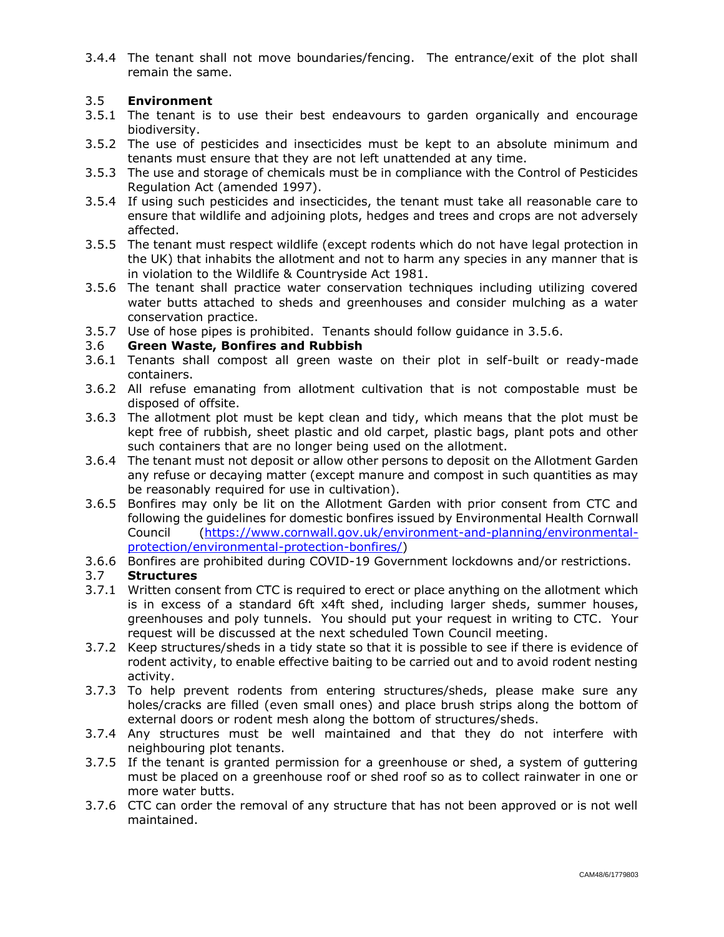3.4.4 The tenant shall not move boundaries/fencing. The entrance/exit of the plot shall remain the same.

### 3.5 **Environment**

- 3.5.1 The tenant is to use their best endeavours to garden organically and encourage biodiversity.
- 3.5.2 The use of pesticides and insecticides must be kept to an absolute minimum and tenants must ensure that they are not left unattended at any time.
- 3.5.3 The use and storage of chemicals must be in compliance with the Control of Pesticides Regulation Act (amended 1997).
- 3.5.4 If using such pesticides and insecticides, the tenant must take all reasonable care to ensure that wildlife and adjoining plots, hedges and trees and crops are not adversely affected.
- 3.5.5 The tenant must respect wildlife (except rodents which do not have legal protection in the UK) that inhabits the allotment and not to harm any species in any manner that is in violation to the Wildlife & Countryside Act 1981.
- 3.5.6 The tenant shall practice water conservation techniques including utilizing covered water butts attached to sheds and greenhouses and consider mulching as a water conservation practice.
- 3.5.7 Use of hose pipes is prohibited. Tenants should follow guidance in 3.5.6.

#### 3.6 **Green Waste, Bonfires and Rubbish**

- 3.6.1 Tenants shall compost all green waste on their plot in self-built or ready-made containers.
- 3.6.2 All refuse emanating from allotment cultivation that is not compostable must be disposed of offsite.
- 3.6.3 The allotment plot must be kept clean and tidy, which means that the plot must be kept free of rubbish, sheet plastic and old carpet, plastic bags, plant pots and other such containers that are no longer being used on the allotment.
- 3.6.4 The tenant must not deposit or allow other persons to deposit on the Allotment Garden any refuse or decaying matter (except manure and compost in such quantities as may be reasonably required for use in cultivation).
- 3.6.5 Bonfires may only be lit on the Allotment Garden with prior consent from CTC and following the guidelines for domestic bonfires issued by Environmental Health Cornwall Council [\(https://www.cornwall.gov.uk/environment-and-planning/environmental](https://www.cornwall.gov.uk/environment-and-planning/environmental-protection/environmental-protection-bonfires/)[protection/environmental-protection-bonfires/\)](https://www.cornwall.gov.uk/environment-and-planning/environmental-protection/environmental-protection-bonfires/)
- 3.6.6 Bonfires are prohibited during COVID-19 Government lockdowns and/or restrictions.

## 3.7 **Structures**

- 3.7.1 Written consent from CTC is required to erect or place anything on the allotment which is in excess of a standard 6ft x4ft shed, including larger sheds, summer houses, greenhouses and poly tunnels. You should put your request in writing to CTC. Your request will be discussed at the next scheduled Town Council meeting.
- 3.7.2 Keep structures/sheds in a tidy state so that it is possible to see if there is evidence of rodent activity, to enable effective baiting to be carried out and to avoid rodent nesting activity.
- 3.7.3 To help prevent rodents from entering structures/sheds, please make sure any holes/cracks are filled (even small ones) and place brush strips along the bottom of external doors or rodent mesh along the bottom of structures/sheds.
- 3.7.4 Any structures must be well maintained and that they do not interfere with neighbouring plot tenants.
- 3.7.5 If the tenant is granted permission for a greenhouse or shed, a system of guttering must be placed on a greenhouse roof or shed roof so as to collect rainwater in one or more water butts.
- 3.7.6 CTC can order the removal of any structure that has not been approved or is not well maintained.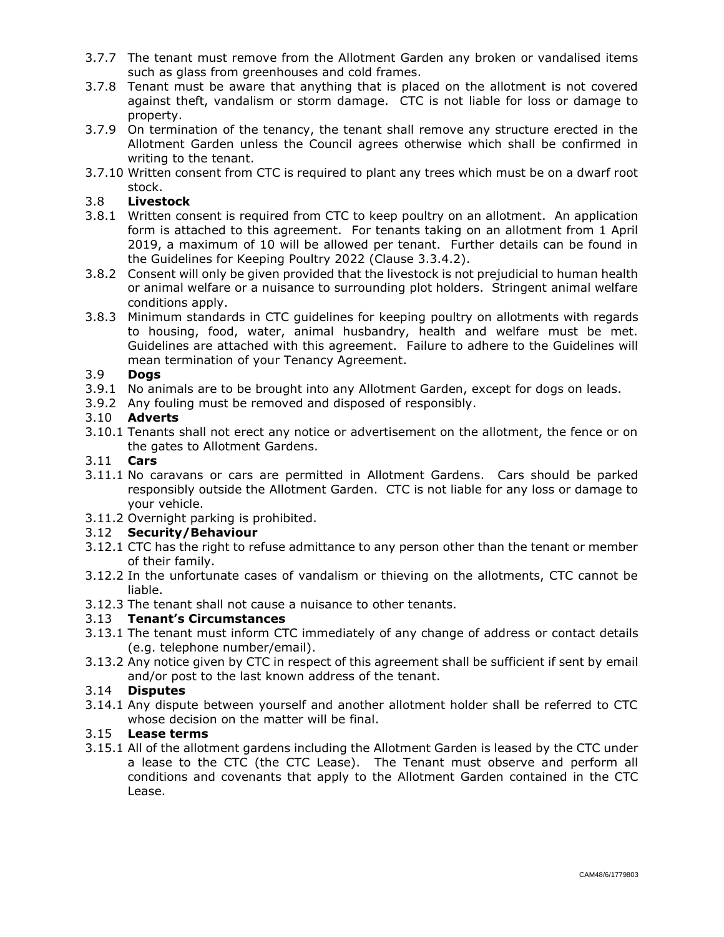- 3.7.7 The tenant must remove from the Allotment Garden any broken or vandalised items such as glass from greenhouses and cold frames.
- 3.7.8 Tenant must be aware that anything that is placed on the allotment is not covered against theft, vandalism or storm damage. CTC is not liable for loss or damage to property.
- 3.7.9 On termination of the tenancy, the tenant shall remove any structure erected in the Allotment Garden unless the Council agrees otherwise which shall be confirmed in writing to the tenant.
- 3.7.10 Written consent from CTC is required to plant any trees which must be on a dwarf root stock.

## 3.8 **Livestock**

- 3.8.1 Written consent is required from CTC to keep poultry on an allotment. An application form is attached to this agreement. For tenants taking on an allotment from 1 April 2019, a maximum of 10 will be allowed per tenant. Further details can be found in the Guidelines for Keeping Poultry 2022 (Clause 3.3.4.2).
- 3.8.2 Consent will only be given provided that the livestock is not prejudicial to human health or animal welfare or a nuisance to surrounding plot holders. Stringent animal welfare conditions apply.
- 3.8.3 Minimum standards in CTC guidelines for keeping poultry on allotments with regards to housing, food, water, animal husbandry, health and welfare must be met. Guidelines are attached with this agreement. Failure to adhere to the Guidelines will mean termination of your Tenancy Agreement.

#### 3.9 **Dogs**

- 3.9.1 No animals are to be brought into any Allotment Garden, except for dogs on leads.
- 3.9.2 Any fouling must be removed and disposed of responsibly.

#### 3.10 **Adverts**

3.10.1 Tenants shall not erect any notice or advertisement on the allotment, the fence or on the gates to Allotment Gardens.

#### 3.11 **Cars**

- 3.11.1 No caravans or cars are permitted in Allotment Gardens. Cars should be parked responsibly outside the Allotment Garden. CTC is not liable for any loss or damage to your vehicle.
- 3.11.2 Overnight parking is prohibited.

#### 3.12 **Security/Behaviour**

- 3.12.1 CTC has the right to refuse admittance to any person other than the tenant or member of their family.
- 3.12.2 In the unfortunate cases of vandalism or thieving on the allotments, CTC cannot be liable.
- 3.12.3 The tenant shall not cause a nuisance to other tenants.

#### 3.13 **Tenant's Circumstances**

- 3.13.1 The tenant must inform CTC immediately of any change of address or contact details (e.g. telephone number/email).
- 3.13.2 Any notice given by CTC in respect of this agreement shall be sufficient if sent by email and/or post to the last known address of the tenant.

#### 3.14 **Disputes**

3.14.1 Any dispute between yourself and another allotment holder shall be referred to CTC whose decision on the matter will be final.

## 3.15 **Lease terms**

3.15.1 All of the allotment gardens including the Allotment Garden is leased by the CTC under a lease to the CTC (the CTC Lease). The Tenant must observe and perform all conditions and covenants that apply to the Allotment Garden contained in the CTC Lease.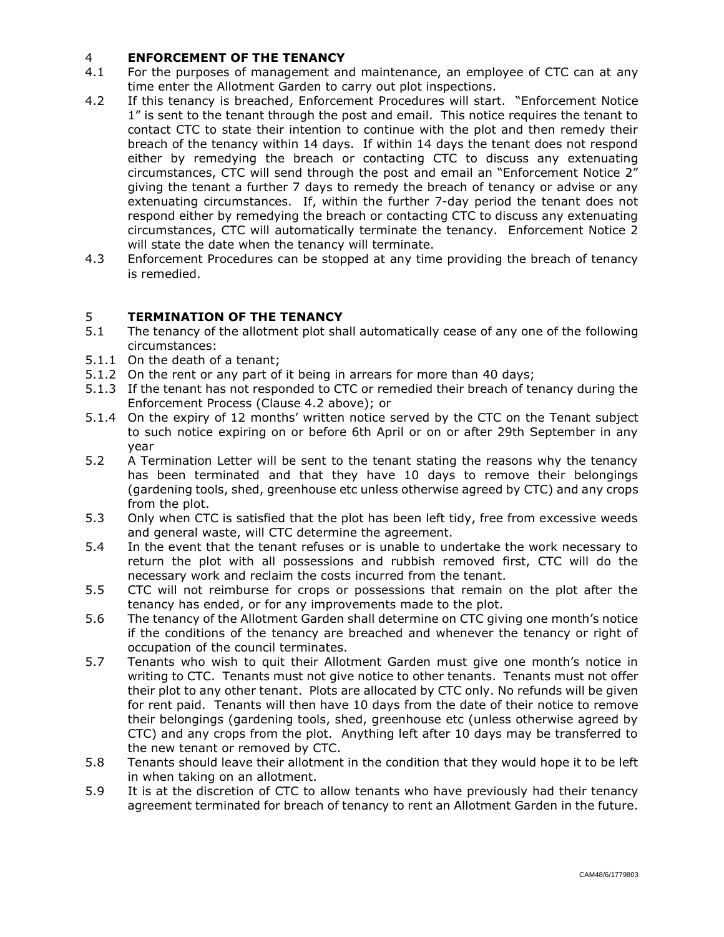## 4 **ENFORCEMENT OF THE TENANCY**

- 4.1 For the purposes of management and maintenance, an employee of CTC can at any time enter the Allotment Garden to carry out plot inspections.
- 4.2 If this tenancy is breached, Enforcement Procedures will start. "Enforcement Notice 1" is sent to the tenant through the post and email. This notice requires the tenant to contact CTC to state their intention to continue with the plot and then remedy their breach of the tenancy within 14 days. If within 14 days the tenant does not respond either by remedying the breach or contacting CTC to discuss any extenuating circumstances, CTC will send through the post and email an "Enforcement Notice 2" giving the tenant a further 7 days to remedy the breach of tenancy or advise or any extenuating circumstances. If, within the further 7-day period the tenant does not respond either by remedying the breach or contacting CTC to discuss any extenuating circumstances, CTC will automatically terminate the tenancy. Enforcement Notice 2 will state the date when the tenancy will terminate.
- 4.3 Enforcement Procedures can be stopped at any time providing the breach of tenancy is remedied.

## 5 **TERMINATION OF THE TENANCY**

- 5.1 The tenancy of the allotment plot shall automatically cease of any one of the following circumstances:
- 5.1.1 On the death of a tenant;
- 5.1.2 On the rent or any part of it being in arrears for more than 40 days;
- 5.1.3 If the tenant has not responded to CTC or remedied their breach of tenancy during the Enforcement Process (Clause 4.2 above); or
- 5.1.4 On the expiry of 12 months' written notice served by the CTC on the Tenant subject to such notice expiring on or before 6th April or on or after 29th September in any year
- 5.2 A Termination Letter will be sent to the tenant stating the reasons why the tenancy has been terminated and that they have 10 days to remove their belongings (gardening tools, shed, greenhouse etc unless otherwise agreed by CTC) and any crops from the plot.
- 5.3 Only when CTC is satisfied that the plot has been left tidy, free from excessive weeds and general waste, will CTC determine the agreement.
- 5.4 In the event that the tenant refuses or is unable to undertake the work necessary to return the plot with all possessions and rubbish removed first, CTC will do the necessary work and reclaim the costs incurred from the tenant.
- 5.5 CTC will not reimburse for crops or possessions that remain on the plot after the tenancy has ended, or for any improvements made to the plot.
- 5.6 The tenancy of the Allotment Garden shall determine on CTC giving one month's notice if the conditions of the tenancy are breached and whenever the tenancy or right of occupation of the council terminates.
- 5.7 Tenants who wish to quit their Allotment Garden must give one month's notice in writing to CTC. Tenants must not give notice to other tenants. Tenants must not offer their plot to any other tenant. Plots are allocated by CTC only. No refunds will be given for rent paid. Tenants will then have 10 days from the date of their notice to remove their belongings (gardening tools, shed, greenhouse etc (unless otherwise agreed by CTC) and any crops from the plot. Anything left after 10 days may be transferred to the new tenant or removed by CTC.
- 5.8 Tenants should leave their allotment in the condition that they would hope it to be left in when taking on an allotment.
- 5.9 It is at the discretion of CTC to allow tenants who have previously had their tenancy agreement terminated for breach of tenancy to rent an Allotment Garden in the future.